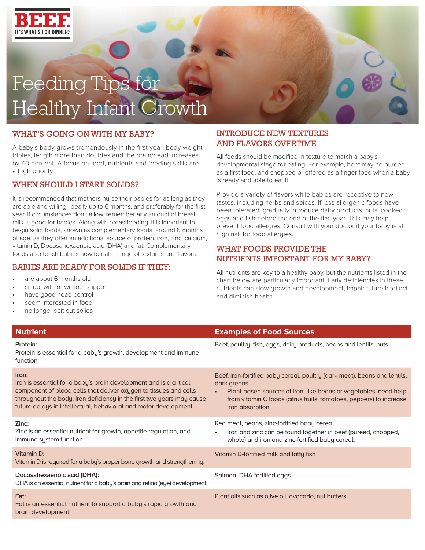

# Feeding Tips for Healthy Infant Growth

#### WHAT'S GOING ON WITH MY BABY?

A baby's body grows tremendously in the first year: body weight triples, length more than doubles and the brain/head increases by 40 percent. A focus on food, nutrients and feeding skills are a high priority.

#### WHEN SHOULD I START SOLIDS?

It is recommended that mothers nurse their babies for as long as they are able and willing, ideally up to 6 months, and preferably for the first year. If circumstances don't allow, remember any amount of breast milk is good for babies. Along with breastfeeding, it is important to begin solid foods, known as complementary foods, around 6 months of age, as they offer an additional source of protein, iron, zinc, calcium, vitamin D, Docosahexaenoic acid (DHA) and fat. Complementary foods also teach babies how to eat a range of textures and flavors.

#### BABIES ARE READY FOR SOLIDS IF THEY:

- are about 6 months old
- sit up, with or without support
- have good head control
- seem interested in food
- no longer spit out solids

#### INTRODUCE NEW TEXTURES AND FLAVORS OVERTIME

All foods should be modified in texture to match a baby's developmental stage for eating. For example, beef may be pureed as a first food, and chopped or offered as a finger food when a baby is ready and able to eat it.

Provide a variety of flavors while babies are receptive to new tastes, including herbs and spices. If less allergenic foods have been tolerated, gradually introduce dairy products, nuts, cooked eggs and fish before the end of the first year. This may help prevent food allergies. Consult with your doctor if your baby is at high risk for food allergies.

#### WHAT FOODS PROVIDE THE NUTRIENTS IMPORTANT FOR MY BABY?

All nutrients are key to a healthy baby, but the nutrients listed in the chart below are particularly important. Early deficiencies in these nutrients can slow growth and development, impair future intellect and diminish health.

| <b>Nutrient</b>                                                                                                                                                                                                                                                                               | <b>Examples of Food Sources</b>                                                                                                                                                                                                                                      |
|-----------------------------------------------------------------------------------------------------------------------------------------------------------------------------------------------------------------------------------------------------------------------------------------------|----------------------------------------------------------------------------------------------------------------------------------------------------------------------------------------------------------------------------------------------------------------------|
| Protein:<br>Protein is essential for a baby's growth, development and immune<br>function.                                                                                                                                                                                                     | Beef, poultry, fish, eggs, dairy products, beans and lentils, nuts                                                                                                                                                                                                   |
| Iron:<br>Iron is essential for a baby's brain development and is a critical<br>component of blood cells that deliver oxygen to tissues and cells<br>throughout the body. Iron deficiency in the first two years may cause<br>future delays in intellectual, behavioral and motor development. | Beef, iron-fortified baby cereal, poultry (dark meat), beans and lentils,<br>dark greens<br>Plant-based sources of iron, like beans or vegetables, need help<br>$\bullet$<br>from vitamin C foods (citrus fruits, tomatoes, peppers) to increase<br>iron absorption. |
| Zinc:<br>Zinc is an essential nutrient for growth, appetite regulation, and<br>immune system function.                                                                                                                                                                                        | Red meat, beans, zinc-fortified baby cereal<br>Iron and zinc can be found together in beef (pureed, chopped,<br>$\bullet$<br>whole) and iron and zinc-fortified baby cereal.                                                                                         |
| <b>Vitamin D:</b><br>Vitamin D is required for a baby's proper bone growth and strengthening.                                                                                                                                                                                                 | Vitamin D-fortified milk and fatty fish                                                                                                                                                                                                                              |
| Docosahexaenoic acid (DHA):<br>DHA is an essential nutrient for a baby's brain and retina (eye) development.                                                                                                                                                                                  | Salmon, DHA-fortified eggs                                                                                                                                                                                                                                           |
| Fat:<br>Fat is an essential nutrient to support a baby's rapid growth and<br>brain development.                                                                                                                                                                                               | Plant oils such as olive oil, avocado, nut butters                                                                                                                                                                                                                   |
|                                                                                                                                                                                                                                                                                               |                                                                                                                                                                                                                                                                      |